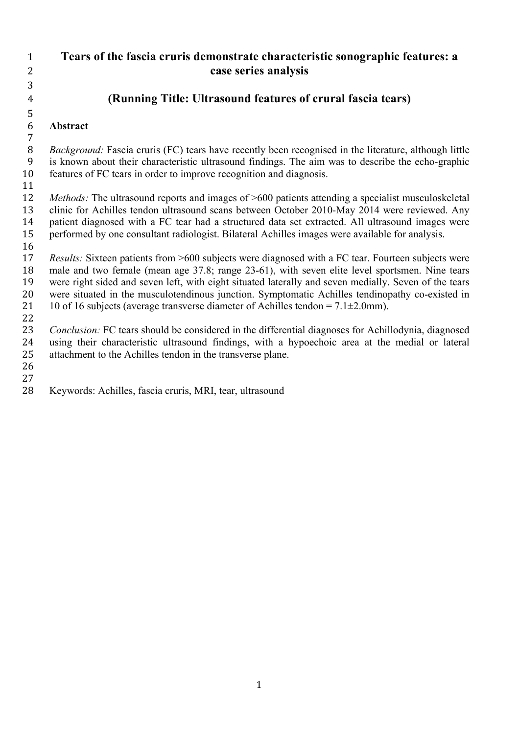**Tears of the fascia cruris demonstrate characteristic sonographic features: a case series analysis**

## **(Running Title: Ultrasound features of crural fascia tears)**

## **Abstract**

 *Background:* Fascia cruris (FC) tears have recently been recognised in the literature, although little is known about their characteristic ultrasound findings. The aim was to describe the echo*-*graphic features of FC tears in order to improve recognition and diagnosis.

 *Methods:* The ultrasound reports and images of >600 patients attending a specialist musculoskeletal clinic for Achilles tendon ultrasound scans between October 2010-May 2014 were reviewed. Any patient diagnosed with a FC tear had a structured data set extracted. All ultrasound images were performed by one consultant radiologist. Bilateral Achilles images were available for analysis.

 *Results:* Sixteen patients from >600 subjects were diagnosed with a FC tear. Fourteen subjects were male and two female (mean age 37.8; range 23-61), with seven elite level sportsmen. Nine tears were right sided and seven left, with eight situated laterally and seven medially. Seven of the tears were situated in the musculotendinous junction. Symptomatic Achilles tendinopathy co-existed in 21 10 of 16 subjects (average transverse diameter of Achilles tendon =  $7.1 \pm 2.0$  mm). 

 *Conclusion:* FC tears should be considered in the differential diagnoses for Achillodynia, diagnosed using their characteristic ultrasound findings, with a hypoechoic area at the medial or lateral attachment to the Achilles tendon in the transverse plane.

Keywords: Achilles, fascia cruris, MRI, tear, ultrasound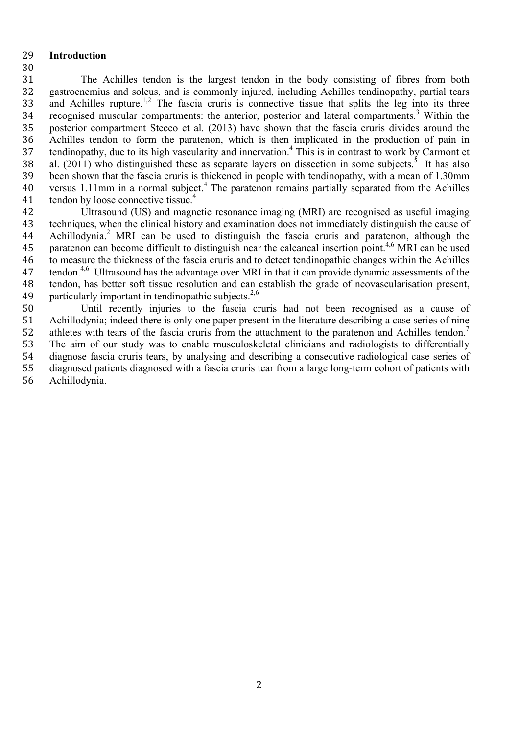#### **Introduction**

 The Achilles tendon is the largest tendon in the body consisting of fibres from both gastrocnemius and soleus, and is commonly injured, including Achilles tendinopathy, partial tears 33 and Achilles rupture.<sup>1,2</sup> The fascia cruris is connective tissue that splits the leg into its three 34 recognised muscular compartments: the anterior, posterior and lateral compartments.<sup>3</sup> Within the posterior compartment Stecco et al. (2013) have shown that the fascia cruris divides around the Achilles tendon to form the paratenon, which is then implicated in the production of pain in 37 tendinopathy, due to its high vascularity and innervation.<sup>4</sup> This is in contrast to work by Carmont et 38 al. (2011) who distinguished these as separate layers on dissection in some subjects.<sup>5</sup> It has also been shown that the fascia cruris is thickened in people with tendinopathy, with a mean of 1.30mm 40 versus 1.11mm in a normal subject.<sup>4</sup> The paratenon remains partially separated from the Achilles 41 tendon by loose connective tissue.<sup>4</sup>

 Ultrasound (US) and magnetic resonance imaging (MRI) are recognised as useful imaging techniques, when the clinical history and examination does not immediately distinguish the cause of 44 Achillodynia.<sup>2</sup> MRI can be used to distinguish the fascia cruris and paratenon, although the 45 paratenon can become difficult to distinguish near the calcaneal insertion point.<sup>4,6</sup> MRI can be used to measure the thickness of the fascia cruris and to detect tendinopathic changes within the Achilles 47 tendon.<sup>4,6</sup> Ultrasound has the advantage over MRI in that it can provide dynamic assessments of the tendon, has better soft tissue resolution and can establish the grade of neovascularisation present, 49 particularly important in tendinopathic subjects. $2,6$ 

 Until recently injuries to the fascia cruris had not been recognised as a cause of Achillodynia; indeed there is only one paper present in the literature describing a case series of nine 52 athletes with tears of the fascia cruris from the attachment to the paratenon and Achilles tendon.<sup>7</sup> The aim of our study was to enable musculoskeletal clinicians and radiologists to differentially diagnose fascia cruris tears, by analysing and describing a consecutive radiological case series of diagnosed patients diagnosed with a fascia cruris tear from a large long-term cohort of patients with Achillodynia.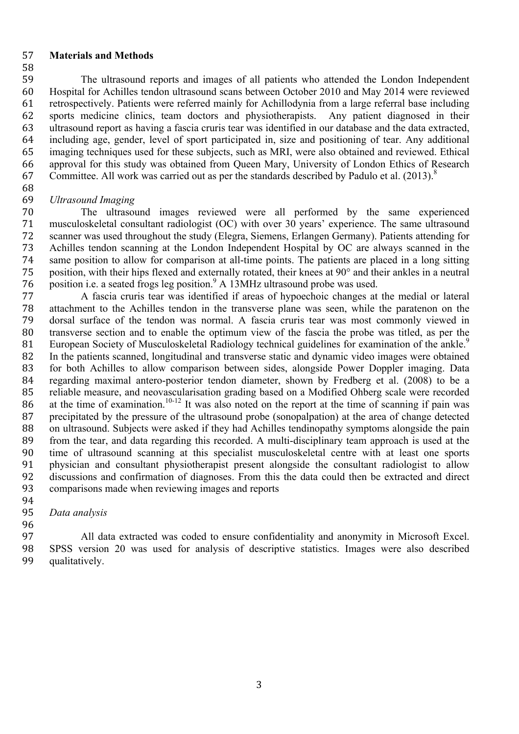#### **Materials and Methods**

- The ultrasound reports and images of all patients who attended the London Independent Hospital for Achilles tendon ultrasound scans between October 2010 and May 2014 were reviewed retrospectively. Patients were referred mainly for Achillodynia from a large referral base including sports medicine clinics, team doctors and physiotherapists. Any patient diagnosed in their ultrasound report as having a fascia cruris tear was identified in our database and the data extracted, including age, gender, level of sport participated in, size and positioning of tear. Any additional imaging techniques used for these subjects, such as MRI, were also obtained and reviewed. Ethical approval for this study was obtained from Queen Mary, University of London Ethics of Research 67 Committee. All work was carried out as per the standards described by Padulo et al.  $(2013)^8$
- 

## *Ultrasound Imaging*

 The ultrasound images reviewed were all performed by the same experienced musculoskeletal consultant radiologist (OC) with over 30 years' experience. The same ultrasound scanner was used throughout the study (Elegra, Siemens, Erlangen Germany). Patients attending for Achilles tendon scanning at the London Independent Hospital by OC are always scanned in the same position to allow for comparison at all-time points. The patients are placed in a long sitting position, with their hips flexed and externally rotated, their knees at 90° and their ankles in a neutral 76 position i.e. a seated frogs leg position.<sup>9</sup> A 13MHz ultrasound probe was used.

 A fascia cruris tear was identified if areas of hypoechoic changes at the medial or lateral attachment to the Achilles tendon in the transverse plane was seen, while the paratenon on the dorsal surface of the tendon was normal. A fascia cruris tear was most commonly viewed in transverse section and to enable the optimum view of the fascia the probe was titled, as per the 81 European Society of Musculoskeletal Radiology technical guidelines for examination of the ankle.<sup>9</sup> In the patients scanned, longitudinal and transverse static and dynamic video images were obtained for both Achilles to allow comparison between sides, alongside Power Doppler imaging. Data regarding maximal antero-posterior tendon diameter, shown by Fredberg et al. (2008) to be a reliable measure, and neovascularisation grading based on a Modified Ohberg scale were recorded 86 at the time of examination.<sup>10-12</sup> It was also noted on the report at the time of scanning if pain was precipitated by the pressure of the ultrasound probe (sonopalpation) at the area of change detected on ultrasound. Subjects were asked if they had Achilles tendinopathy symptoms alongside the pain from the tear, and data regarding this recorded. A multi-disciplinary team approach is used at the time of ultrasound scanning at this specialist musculoskeletal centre with at least one sports physician and consultant physiotherapist present alongside the consultant radiologist to allow discussions and confirmation of diagnoses. From this the data could then be extracted and direct comparisons made when reviewing images and reports

#### *Data analysis*

 All data extracted was coded to ensure confidentiality and anonymity in Microsoft Excel. SPSS version 20 was used for analysis of descriptive statistics. Images were also described qualitatively.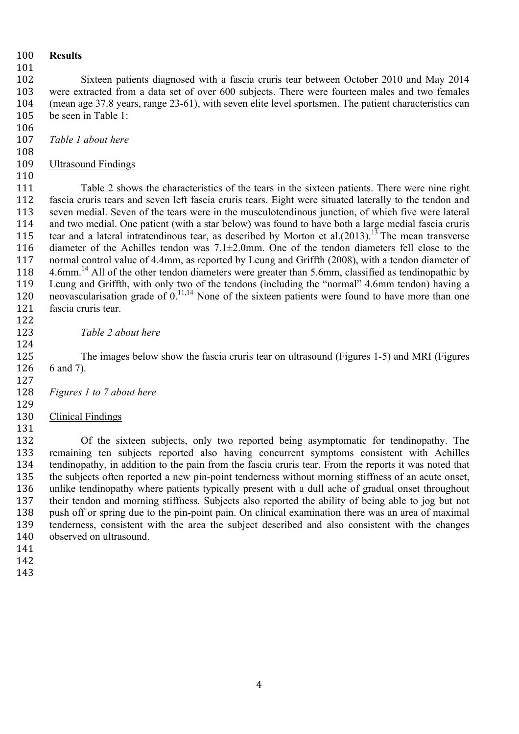## **Results**

 Sixteen patients diagnosed with a fascia cruris tear between October 2010 and May 2014 were extracted from a data set of over 600 subjects. There were fourteen males and two females (mean age 37.8 years, range 23-61), with seven elite level sportsmen. The patient characteristics can be seen in Table 1:

- *Table 1 about here*
- Ultrasound Findings
- 

 Table 2 shows the characteristics of the tears in the sixteen patients. There were nine right fascia cruris tears and seven left fascia cruris tears. Eight were situated laterally to the tendon and seven medial. Seven of the tears were in the musculotendinous junction, of which five were lateral and two medial. One patient (with a star below) was found to have both a large medial fascia cruris 115 tear and a lateral intratendinous tear, as described by Morton et al.(2013).<sup>13</sup> The mean transverse diameter of the Achilles tendon was 7.1±2.0mm. One of the tendon diameters fell close to the normal control value of 4.4mm, as reported by Leung and Griffth (2008), with a tendon diameter of 118 4.6mm.<sup>14</sup> All of the other tendon diameters were greater than 5.6mm, classified as tendinopathic by Leung and Griffth, with only two of the tendons (including the "normal" 4.6mm tendon) having a 120 neovascularisation grade of  $0.11,14$  None of the sixteen patients were found to have more than one fascia cruris tear.

*Table 2 about here*

 The images below show the fascia cruris tear on ultrasound (Figures 1-5) and MRI (Figures 6 and 7). 

- *Figures 1 to 7 about here*
- 

Clinical Findings

 Of the sixteen subjects, only two reported being asymptomatic for tendinopathy. The remaining ten subjects reported also having concurrent symptoms consistent with Achilles tendinopathy, in addition to the pain from the fascia cruris tear. From the reports it was noted that the subjects often reported a new pin-point tenderness without morning stiffness of an acute onset, unlike tendinopathy where patients typically present with a dull ache of gradual onset throughout their tendon and morning stiffness. Subjects also reported the ability of being able to jog but not push off or spring due to the pin-point pain. On clinical examination there was an area of maximal tenderness, consistent with the area the subject described and also consistent with the changes observed on ultrasound.

- 
- 
-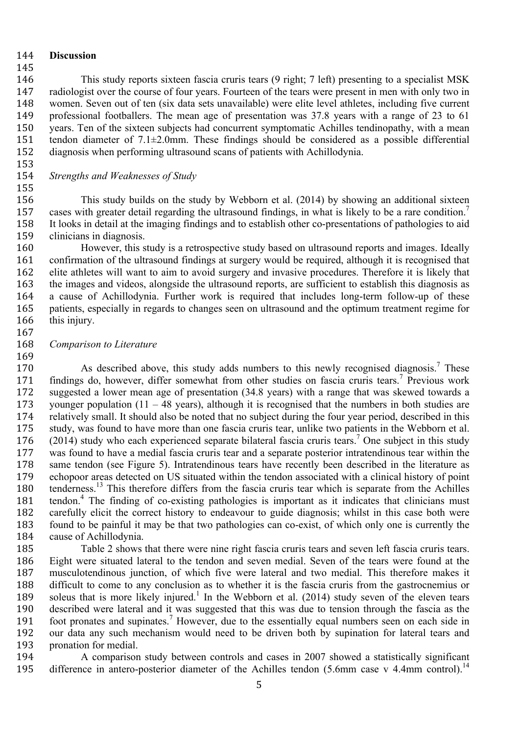#### **Discussion**

 This study reports sixteen fascia cruris tears (9 right; 7 left) presenting to a specialist MSK radiologist over the course of four years. Fourteen of the tears were present in men with only two in women. Seven out of ten (six data sets unavailable) were elite level athletes, including five current professional footballers. The mean age of presentation was 37.8 years with a range of 23 to 61 years. Ten of the sixteen subjects had concurrent symptomatic Achilles tendinopathy, with a mean tendon diameter of 7.1±2.0mm. These findings should be considered as a possible differential diagnosis when performing ultrasound scans of patients with Achillodynia.

#### *Strengths and Weaknesses of Study*

 This study builds on the study by Webborn et al. (2014) by showing an additional sixteen 157 cases with greater detail regarding the ultrasound findings, in what is likely to be a rare condition.<sup>7</sup> It looks in detail at the imaging findings and to establish other co-presentations of pathologies to aid clinicians in diagnosis.

 However, this study is a retrospective study based on ultrasound reports and images. Ideally confirmation of the ultrasound findings at surgery would be required, although it is recognised that elite athletes will want to aim to avoid surgery and invasive procedures. Therefore it is likely that the images and videos, alongside the ultrasound reports, are sufficient to establish this diagnosis as a cause of Achillodynia. Further work is required that includes long-term follow-up of these patients, especially in regards to changes seen on ultrasound and the optimum treatment regime for 166 this injury.

*Comparison to Literature*

 $\mu$  As described above, this study adds numbers to this newly recognised diagnosis.<sup>7</sup> These 171 findings do, however, differ somewhat from other studies on fascia cruris tears.<sup>7</sup> Previous work suggested a lower mean age of presentation (34.8 years) with a range that was skewed towards a younger population (11 – 48 years), although it is recognised that the numbers in both studies are relatively small. It should also be noted that no subject during the four year period, described in this study, was found to have more than one fascia cruris tear, unlike two patients in the Webborn et al.  $(2014)$  study who each experienced separate bilateral fascia cruris tears.<sup>7</sup> One subject in this study was found to have a medial fascia cruris tear and a separate posterior intratendinous tear within the same tendon (see Figure 5). Intratendinous tears have recently been described in the literature as echopoor areas detected on US situated within the tendon associated with a clinical history of point 180 tenderness.<sup>13</sup> This therefore differs from the fascia cruris tear which is separate from the Achilles 181 tendon.<sup>4</sup> The finding of co-existing pathologies is important as it indicates that clinicians must carefully elicit the correct history to endeavour to guide diagnosis; whilst in this case both were found to be painful it may be that two pathologies can co-exist, of which only one is currently the cause of Achillodynia.

 Table 2 shows that there were nine right fascia cruris tears and seven left fascia cruris tears. Eight were situated lateral to the tendon and seven medial. Seven of the tears were found at the musculotendinous junction, of which five were lateral and two medial. This therefore makes it difficult to come to any conclusion as to whether it is the fascia cruris from the gastrocnemius or 189 soleus that is more likely injured.<sup>1</sup> In the Webborn et al.  $(2014)$  study seven of the eleven tears described were lateral and it was suggested that this was due to tension through the fascia as the 191 foot pronates and supinates.<sup>7</sup> However, due to the essentially equal numbers seen on each side in our data any such mechanism would need to be driven both by supination for lateral tears and pronation for medial.

 A comparison study between controls and cases in 2007 showed a statistically significant 195 difference in antero-posterior diameter of the Achilles tendon  $(5.6$ mm case v 4.4mm control).<sup>14</sup>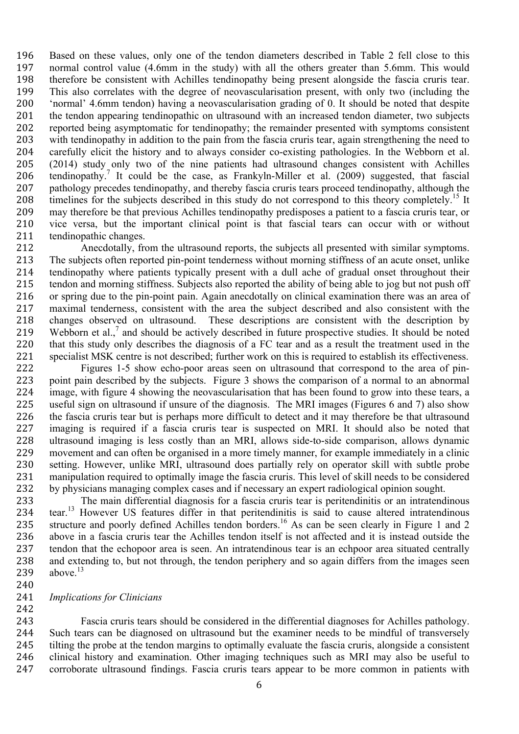Based on these values, only one of the tendon diameters described in Table 2 fell close to this normal control value (4.6mm in the study) with all the others greater than 5.6mm. This would therefore be consistent with Achilles tendinopathy being present alongside the fascia cruris tear. This also correlates with the degree of neovascularisation present, with only two (including the 'normal' 4.6mm tendon) having a neovascularisation grading of 0. It should be noted that despite the tendon appearing tendinopathic on ultrasound with an increased tendon diameter, two subjects reported being asymptomatic for tendinopathy; the remainder presented with symptoms consistent with tendinopathy in addition to the pain from the fascia cruris tear, again strengthening the need to carefully elicit the history and to always consider co-existing pathologies. In the Webborn et al. (2014) study only two of the nine patients had ultrasound changes consistent with Achilles 206 tendinopathy.<sup>7</sup> It could be the case, as Frankyln-Miller et al. (2009) suggested, that fascial pathology precedes tendinopathy, and thereby fascia cruris tears proceed tendinopathy, although the 208 timelines for the subjects described in this study do not correspond to this theory completely.<sup>15</sup> It may therefore be that previous Achilles tendinopathy predisposes a patient to a fascia cruris tear, or vice versa, but the important clinical point is that fascial tears can occur with or without tendinopathic changes.

 Anecdotally, from the ultrasound reports, the subjects all presented with similar symptoms. The subjects often reported pin-point tenderness without morning stiffness of an acute onset, unlike tendinopathy where patients typically present with a dull ache of gradual onset throughout their tendon and morning stiffness. Subjects also reported the ability of being able to jog but not push off or spring due to the pin-point pain. Again anecdotally on clinical examination there was an area of maximal tenderness, consistent with the area the subject described and also consistent with the changes observed on ultrasound. These descriptions are consistent with the description by 219 Webborn et al.<sup>7</sup> and should be actively described in future prospective studies. It should be noted that this study only describes the diagnosis of a FC tear and as a result the treatment used in the specialist MSK centre is not described; further work on this is required to establish its effectiveness.

 Figures 1-5 show echo-poor areas seen on ultrasound that correspond to the area of pin- point pain described by the subjects. Figure 3 shows the comparison of a normal to an abnormal image, with figure 4 showing the neovascularisation that has been found to grow into these tears, a useful sign on ultrasound if unsure of the diagnosis. The MRI images (Figures 6 and 7) also show the fascia cruris tear but is perhaps more difficult to detect and it may therefore be that ultrasound imaging is required if a fascia cruris tear is suspected on MRI. It should also be noted that ultrasound imaging is less costly than an MRI, allows side-to-side comparison, allows dynamic movement and can often be organised in a more timely manner, for example immediately in a clinic setting. However, unlike MRI, ultrasound does partially rely on operator skill with subtle probe manipulation required to optimally image the fascia cruris. This level of skill needs to be considered by physicians managing complex cases and if necessary an expert radiological opinion sought.

 The main differential diagnosis for a fascia cruris tear is peritendinitis or an intratendinous 234 tear.<sup>13</sup> However US features differ in that peritendinitis is said to cause altered intratendinous 235 structure and poorly defined Achilles tendon borders.<sup>16</sup> As can be seen clearly in Figure 1 and 2 above in a fascia cruris tear the Achilles tendon itself is not affected and it is instead outside the tendon that the echopoor area is seen. An intratendinous tear is an echpoor area situated centrally and extending to, but not through, the tendon periphery and so again differs from the images seen 239 above.

#### *Implications for Clinicians*

 Fascia cruris tears should be considered in the differential diagnoses for Achilles pathology. Such tears can be diagnosed on ultrasound but the examiner needs to be mindful of transversely tilting the probe at the tendon margins to optimally evaluate the fascia cruris, alongside a consistent clinical history and examination. Other imaging techniques such as MRI may also be useful to corroborate ultrasound findings. Fascia cruris tears appear to be more common in patients with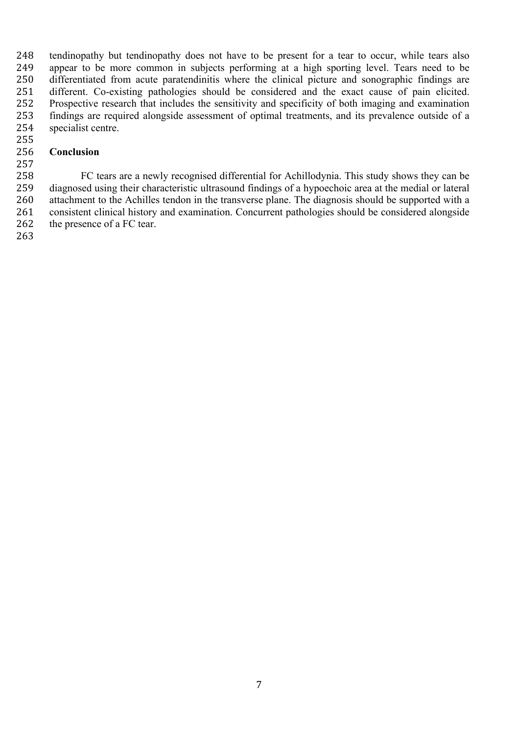tendinopathy but tendinopathy does not have to be present for a tear to occur, while tears also appear to be more common in subjects performing at a high sporting level. Tears need to be differentiated from acute paratendinitis where the clinical picture and sonographic findings are different. Co-existing pathologies should be considered and the exact cause of pain elicited. Prospective research that includes the sensitivity and specificity of both imaging and examination findings are required alongside assessment of optimal treatments, and its prevalence outside of a specialist centre.

## **Conclusion**

 FC tears are a newly recognised differential for Achillodynia. This study shows they can be diagnosed using their characteristic ultrasound findings of a hypoechoic area at the medial or lateral attachment to the Achilles tendon in the transverse plane. The diagnosis should be supported with a consistent clinical history and examination. Concurrent pathologies should be considered alongside 262 the presence of a FC tear.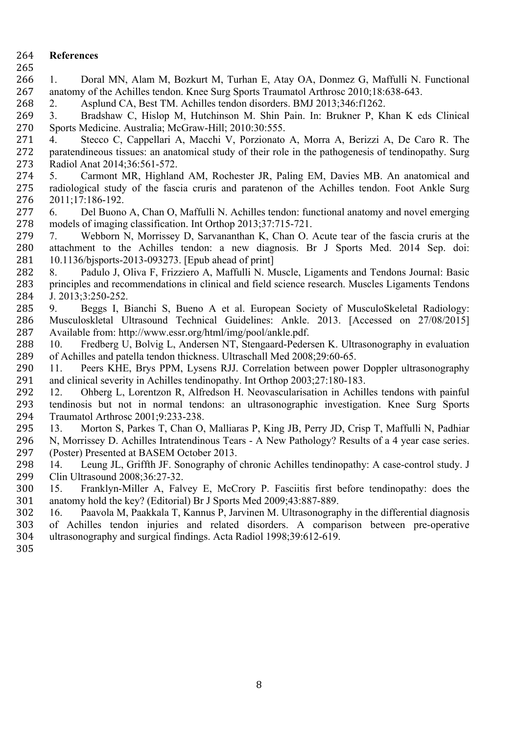## **References**

- 
- 1. Doral MN, Alam M, Bozkurt M, Turhan E, Atay OA, Donmez G, Maffulli N. Functional anatomy of the Achilles tendon. Knee Surg Sports Traumatol Arthrosc 2010;18:638-643.

2. Asplund CA, Best TM. Achilles tendon disorders. BMJ 2013;346:f1262.

 3. Bradshaw C, Hislop M, Hutchinson M. Shin Pain. In: Brukner P, Khan K eds Clinical Sports Medicine. Australia; McGraw-Hill; 2010:30:555.

 4. Stecco C, Cappellari A, Macchi V, Porzionato A, Morra A, Berizzi A, De Caro R. The paratendineous tissues: an anatomical study of their role in the pathogenesis of tendinopathy. Surg Radiol Anat 2014;36:561-572.

 5. Carmont MR, Highland AM, Rochester JR, Paling EM, Davies MB. An anatomical and radiological study of the fascia cruris and paratenon of the Achilles tendon. Foot Ankle Surg 2011;17:186-192.

 6. Del Buono A, Chan O, Maffulli N. Achilles tendon: functional anatomy and novel emerging models of imaging classification. Int Orthop 2013;37:715-721.

 7. Webborn N, Morrissey D, Sarvananthan K, Chan O. Acute tear of the fascia cruris at the attachment to the Achilles tendon: a new diagnosis. Br J Sports Med. 2014 Sep. doi: 10.1136/bjsports-2013-093273. [Epub ahead of print]

- 8. Padulo J, Oliva F, Frizziero A, Maffulli N. Muscle, Ligaments and Tendons Journal: Basic principles and recommendations in clinical and field science research. Muscles Ligaments Tendons J. 2013;3:250-252.
- 9. Beggs I, Bianchi S, Bueno A et al. European Society of MusculoSkeletal Radiology: Musculoskletal Ultrasound Technical Guidelines: Ankle. 2013. [Accessed on 27/08/2015] Available from: http://www.essr.org/html/img/pool/ankle.pdf.
- 10. Fredberg U, Bolvig L, Andersen NT, Stengaard-Pedersen K. Ultrasonography in evaluation of Achilles and patella tendon thickness. Ultraschall Med 2008;29:60-65.

 11. Peers KHE, Brys PPM, Lysens RJJ. Correlation between power Doppler ultrasonography and clinical severity in Achilles tendinopathy. Int Orthop 2003;27:180-183.

 12. Ohberg L, Lorentzon R, Alfredson H. Neovascularisation in Achilles tendons with painful tendinosis but not in normal tendons: an ultrasonographic investigation. Knee Surg Sports Traumatol Arthrosc 2001;9:233-238.

 13. Morton S, Parkes T, Chan O, Malliaras P, King JB, Perry JD, Crisp T, Maffulli N, Padhiar N, Morrissey D. Achilles Intratendinous Tears - A New Pathology? Results of a 4 year case series. (Poster) Presented at BASEM October 2013.

 14. Leung JL, Griffth JF. Sonography of chronic Achilles tendinopathy: A case-control study. J Clin Ultrasound 2008;36:27-32.

 15. Franklyn-Miller A, Falvey E, McCrory P. Fasciitis first before tendinopathy: does the anatomy hold the key? (Editorial) Br J Sports Med 2009;43:887-889.

- 16. Paavola M, Paakkala T, Kannus P, Jarvinen M. Ultrasonography in the differential diagnosis of Achilles tendon injuries and related disorders. A comparison between pre-operative ultrasonography and surgical findings. Acta Radiol 1998;39:612-619.
-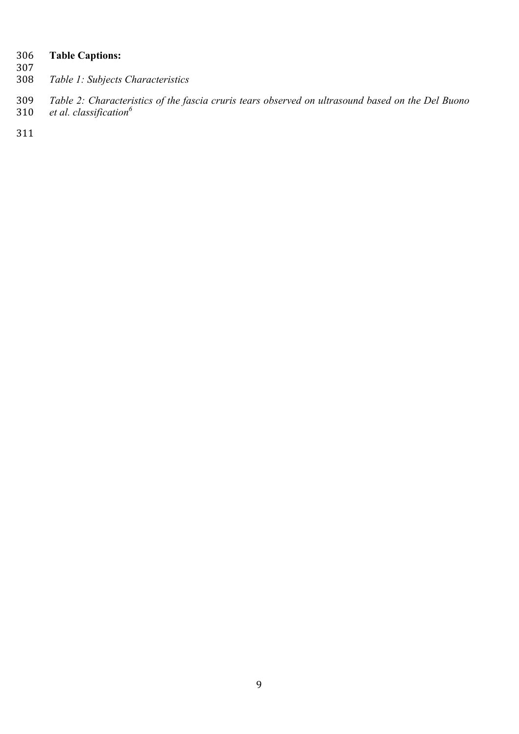# **Table Captions:**

- - *Table 1: Subjects Characteristics*
- *Table 2: Characteristics of the fascia cruris tears observed on ultrasound based on the Del Buono et al. classification<sup>6</sup>*